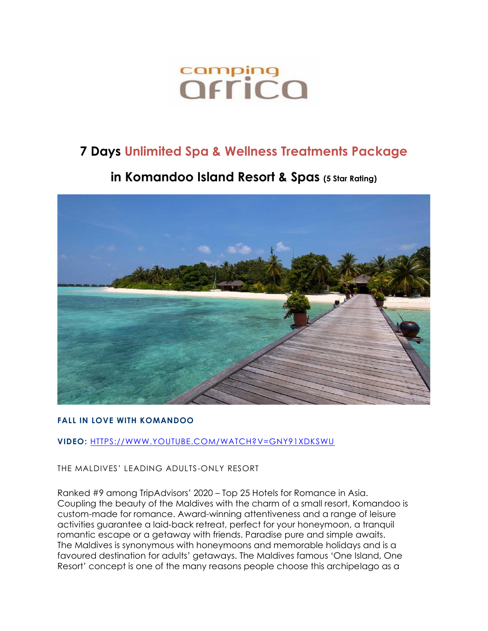# comping<br>*<u>Offica</u>*

# **7 Days Unlimited Spa & Wellness Treatments Package**

# **in Komandoo Island Resort & Spas (5 Star Rating)**



# **FALL IN LOVE WITH KOMANDOO**

**VIDEO:** [HTTPS://WWW.YOUTUBE.COM/WATCH?V=GNY91XDKSWU](https://www.youtube.com/watch?v=GNy91XdKSWU)

THE MALDIVES' LEADING ADULTS-ONLY RESORT

Ranked #9 among TripAdvisors' 2020 – Top 25 Hotels for Romance in Asia. Coupling the beauty of the Maldives with the charm of a small resort, Komandoo is custom-made for romance. Award-winning attentiveness and a range of leisure activities guarantee a laid-back retreat, perfect for your honeymoon, a tranquil romantic escape or a getaway with friends. Paradise pure and simple awaits. The Maldives is synonymous with honeymoons and memorable holidays and is a favoured destination for adults' getaways. The Maldives famous 'One Island, One Resort' concept is one of the many reasons people choose this archipelago as a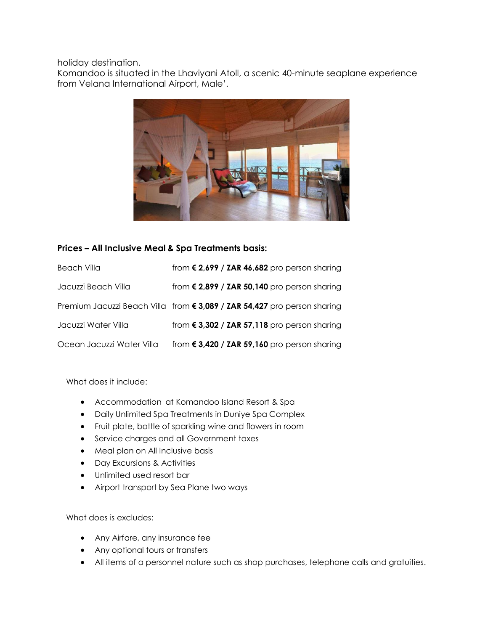holiday destination.

Komandoo is situated in the Lhaviyani Atoll, a scenic 40-minute seaplane experience from Velana International Airport, Male'.



# **Prices – All Inclusive Meal & Spa Treatments basis:**

| Beach Villa               | from $\epsilon$ 2,699 / ZAR 46,682 pro person sharing                    |
|---------------------------|--------------------------------------------------------------------------|
| Jacuzzi Beach Villa       | from $\epsilon$ 2,899 / ZAR 50,140 pro person sharing                    |
|                           | Premium Jacuzzi Beach Villa from € 3,089 / ZAR 54,427 pro person sharing |
| Jacuzzi Water Villa       | from $\epsilon$ 3,302 / ZAR 57,118 pro person sharing                    |
| Ocean Jacuzzi Water Villa | from $\epsilon$ 3,420 / ZAR 59,160 pro person sharing                    |

What does it include:

- Accommodation at Komandoo Island Resort & Spa
- Daily Unlimited Spa Treatments in Duniye Spa Complex
- Fruit plate, bottle of sparkling wine and flowers in room
- Service charges and all Government taxes
- Meal plan on All Inclusive basis
- Day Excursions & Activities
- Unlimited used resort bar
- Airport transport by Sea Plane two ways

What does is excludes:

- Any Airfare, any insurance fee
- Any optional tours or transfers
- All items of a personnel nature such as shop purchases, telephone calls and gratuities.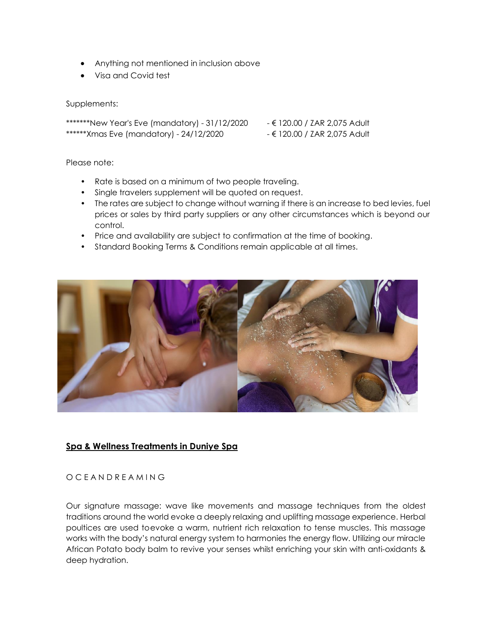- Anything not mentioned in inclusion above
- Visa and Covid test

#### Supplements:

\*\*\*\*\*\*\*New Year's Eve (mandatory) - 31/12/2020 - € 120.00 / ZAR 2,075 Adult \*\*\*\*\*\*Xmas Eve (mandatory) - 24/12/2020 - € 120.00 / ZAR 2,075 Adult

Please note:

- Rate is based on a minimum of two people traveling.
- Single travelers supplement will be quoted on request.
- The rates are subject to change without warning if there is an increase to bed levies, fuel prices or sales by third party suppliers or any other circumstances which is beyond our control.
- Price and availability are subject to confirmation at the time of booking.
- Standard Booking Terms & Conditions remain applicable at all times.



# **Spa & Wellness Treatments in Duniye Spa**

#### O C E A N D R E A M I N G

Our signature massage: wave like movements and massage techniques from the oldest traditions around the world evoke a deeply relaxing and uplifting massage experience. Herbal poultices are used toevoke a warm, nutrient rich relaxation to tense muscles. This massage works with the body's natural energy system to harmonies the energy flow. Utilizing our miracle African Potato body balm to revive your senses whilst enriching your skin with anti-oxidants & deep hydration.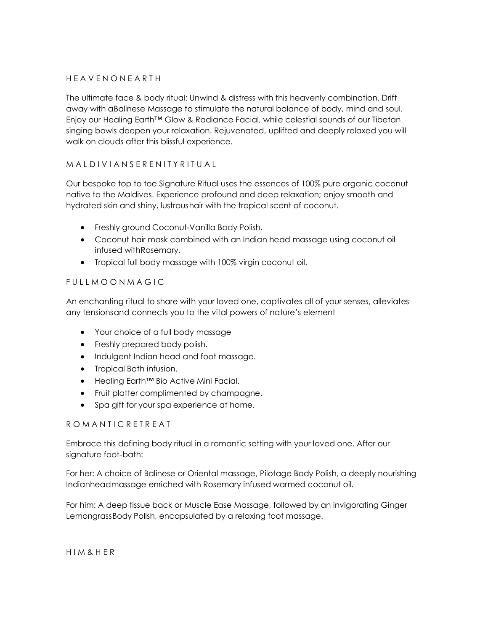#### H E A V E N O N E A R T H

The ultimate face & body ritual: Unwind & distress with this heavenly combination. Drift away with aBalinese Massage to stimulate the natural balance of body, mind and soul. Enjoy our Healing Earth™ Glow & Radiance Facial, while celestial sounds of our Tibetan singing bowls deepen your relaxation. Rejuvenated, uplifted and deeply relaxed you will walk on clouds after this blissful experience.

# M A L D I V LA N S E R E N I T Y R I T U A L

Our bespoke top to toe Signature Ritual uses the essences of 100% pure organic coconut native to the Maldives. Experience profound and deep relaxation; enjoy smooth and hydrated skin and shiny, lustroushair with the tropical scent of coconut.

- Freshly ground Coconut-Vanilla Body Polish.
- Coconut hair mask combined with an Indian head massage using coconut oil infused withRosemary.
- Tropical full body massage with 100% virgin coconut oil.

# FUILL MOON MAGIC

An enchanting ritual to share with your loved one, captivates all of your senses, alleviates any tensionsand connects you to the vital powers of nature's element

- Your choice of a full body massage
- Freshly prepared body polish.
- Indulgent Indian head and foot massage.
- Tropical Bath infusion.
- Healing Earth™ Bio Active Mini Facial.
- Fruit platter complimented by champagne.
- Spa gift for your spa experience at home.

#### R O M A N T I C R E T R E A T

Embrace this defining body ritual in a romantic setting with your loved one. After our signature foot-bath:

For her: A choice of Balinese or Oriental massage, Pilotage Body Polish, a deeply nourishing Indianheadmassage enriched with Rosemary infused warmed coconut oil.

For him: A deep tissue back or Muscle Ease Massage, followed by an invigorating Ginger LemongrassBody Polish, encapsulated by a relaxing foot massage.

H I M & H E R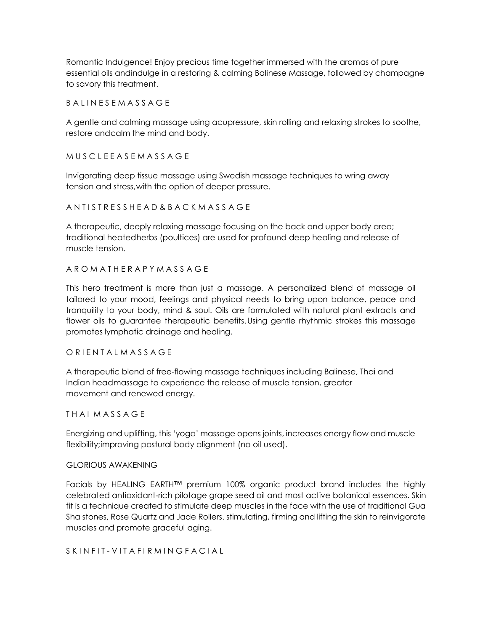Romantic Indulgence! Enjoy precious time together immersed with the aromas of pure essential oils andindulge in a restoring & calming Balinese Massage, followed by champagne to savory this treatment.

**B A L I N E S E M A S S A G E** 

A gentle and calming massage using acupressure, skin rolling and relaxing strokes to soothe, restore andcalm the mind and body.

M U S C L E E A S E M A S S A G E

Invigorating deep tissue massage using Swedish massage techniques to wring away tension and stress,with the option of deeper pressure.

A N T I S T R E S S H E A D & B A C K M A S S A G E

A therapeutic, deeply relaxing massage focusing on the back and upper body area; traditional heatedherbs (poultices) are used for profound deep healing and release of muscle tension.

A R O M A T H E R A P Y M A S S A G E

This hero treatment is more than just a massage. A personalized blend of massage oil tailored to your mood, feelings and physical needs to bring upon balance, peace and tranquility to your body, mind & soul. Oils are formulated with natural plant extracts and flower oils to guarantee therapeutic benefits.Using gentle rhythmic strokes this massage promotes lymphatic drainage and healing.

O R I EN TALMASSAGE

A therapeutic blend of free-flowing massage techniques including Balinese, Thai and Indian headmassage to experience the release of muscle tension, greater movement and renewed energy.

THAI MASSAGE

Energizing and uplifting, this 'yoga' massage opens joints, increases energy flow and muscle flexibility;improving postural body alignment (no oil used).

#### GLORIOUS AWAKENING

Facials by HEALING EARTH™ premium 100% organic product brand includes the highly celebrated antioxidant-rich pilotage grape seed oil and most active botanical essences. Skin fit is a technique created to stimulate deep muscles in the face with the use of traditional Gua Sha stones, Rose Quartz and Jade Rollers. stimulating, firming and lifting the skin to reinvigorate muscles and promote graceful aging.

S K I N F I T - V I T A F I R M I N G F A C I A L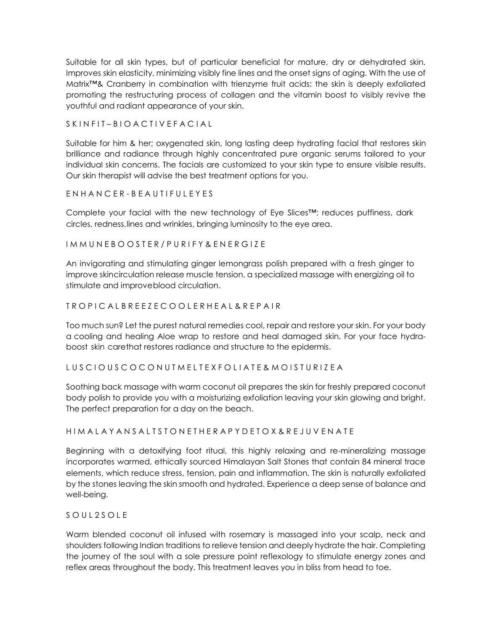Suitable for all skin types, but of particular beneficial for mature, dry or dehydrated skin. Improves skin elasticity, minimizing visibly fine lines and the onset signs of aging. With the use of Matrix™& Cranberry in combination with trienzyme fruit acids; the skin is deeply exfoliated promoting the restructuring process of collagen and the vitamin boost to visibly revive the youthful and radiant appearance of your skin.

S K I N F I T – B I O A C T I V E F A C I A L

Suitable for him & her; oxygenated skin, long lasting deep hydrating facial that restores skin brilliance and radiance through highly concentrated pure organic serums tailored to your individual skin concerns. The facials are customized to your skin type to ensure visible results. Our skin therapist will advise the best treatment options for you.

E N H A N C E R - B E A U T I F U L E Y E S

Complete your facial with the new technology of Eye Slices™: reduces puffiness, dark circles, redness,lines and wrinkles, bringing luminosity to the eye area.

I M M U N E B O O S T E R / P U R I F Y & E N E R G I Z E

An invigorating and stimulating ginger lemongrass polish prepared with a fresh ginger to improve skincirculation release muscle tension, a specialized massage with energizing oil to stimulate and improveblood circulation.

# T R O P I C A L B R E E Z E C O O L E R H E A L & R E P A I R

Too much sun? Let the purest natural remedies cool, repair and restore your skin. For your body a cooling and healing Aloe wrap to restore and heal damaged skin. For your face hydraboost skin carethat restores radiance and structure to the epidermis.

# L U S C I O U S C O C O N U T M E L T E X F O L I A T E & M O I S T U R I Z E A

Soothing back massage with warm coconut oil prepares the skin for freshly prepared coconut body polish to provide you with a moisturizing exfoliation leaving your skin glowing and bright. The perfect preparation for a day on the beach.

# H I M A L A Y A N S A L T S T O N E T H E R A P Y D E T O X & R E J U V E N A T E

Beginning with a detoxifying foot ritual, this highly relaxing and re-mineralizing massage incorporates warmed, ethically sourced Himalayan Salt Stones that contain 84 mineral trace elements, which reduce stress, tension, pain and inflammation. The skin is naturally exfoliated by the stones leaving the skin smooth and hydrated. Experience a deep sense of balance and well-being.

# S O U L 2 S O L E

Warm blended coconut oil infused with rosemary is massaged into your scalp, neck and shoulders following Indian traditions to relieve tension and deeply hydrate the hair. Completing the journey of the soul with a sole pressure point reflexology to stimulate energy zones and reflex areas throughout the body. This treatment leaves you in bliss from head to toe.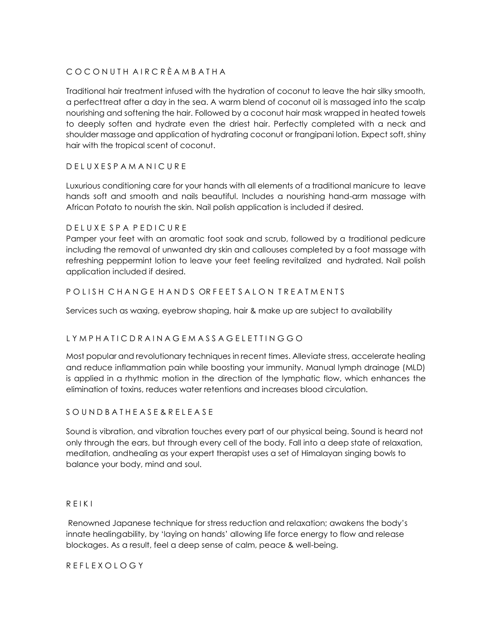# C O C O N U T H A I R C R È A M B A T H A

Traditional hair treatment infused with the hydration of coconut to leave the hair silky smooth, a perfecttreat after a day in the sea. A warm blend of coconut oil is massaged into the scalp nourishing and softening the hair. Followed by a coconut hair mask wrapped in heated towels to deeply soften and hydrate even the driest hair. Perfectly completed with a neck and shoulder massage and application of hydrating coconut or frangipani lotion. Expect soft, shiny hair with the tropical scent of coconut.

# D E L U X E S P A M A N I C U R E

Luxurious conditioning care for your hands with all elements of a traditional manicure to leave hands soft and smooth and nails beautiful. Includes a nourishing hand-arm massage with African Potato to nourish the skin. Nail polish application is included if desired.

#### D E L U X E S P A P E D I C U R E

Pamper your feet with an aromatic foot soak and scrub, followed by a traditional pedicure including the removal of unwanted dry skin and callouses completed by a foot massage with refreshing peppermint lotion to leave your feet feeling revitalized and hydrated. Nail polish application included if desired.

# POLISH CHANGE HANDS ORFEET SALON TREATMENTS

Services such as waxing, eyebrow shaping, hair & make up are subject to availability

# L Y M P H A T I C D R A I N A G E M A S S A G E L E T T I N G G O

Most popular and revolutionary techniques in recent times. Alleviate stress, accelerate healing and reduce inflammation pain while boosting your immunity. Manual lymph drainage (MLD) is applied in a rhythmic motion in the direction of the lymphatic flow, which enhances the elimination of toxins, reduces water retentions and increases blood circulation.

# S O U N D B A T H E A S E & R E L E A S E

Sound is vibration, and vibration touches every part of our physical being. Sound is heard not only through the ears, but through every cell of the body. Fall into a deep state of relaxation, meditation, andhealing as your expert therapist uses a set of Himalayan singing bowls to balance your body, mind and soul.

#### R E I K I

Renowned Japanese technique for stress reduction and relaxation; awakens the body's innate healingability, by 'laying on hands' allowing life force energy to flow and release blockages. As a result, feel a deep sense of calm, peace & well-being.

#### R E F L E X O L O G Y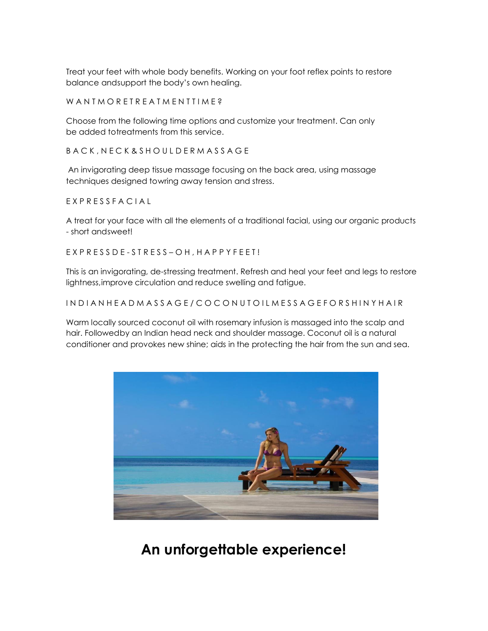Treat your feet with whole body benefits. Working on your foot reflex points to restore balance andsupport the body's own healing.

W A N T M O R E T R E A T M E N T T I M E ?

Choose from the following time options and customize your treatment. Can only be added totreatments from this service.

B A C K , N E C K & S H O U L D E R M A S S A G E

An invigorating deep tissue massage focusing on the back area, using massage techniques designed towring away tension and stress.

E X P R E S S F A C I A L

A treat for your face with all the elements of a traditional facial, using our organic products - short andsweet!

E X P R E S S D E - S T R E S S – O H , H A P P Y F E E T !

This is an invigorating, de-stressing treatment. Refresh and heal your feet and legs to restore lightness,improve circulation and reduce swelling and fatigue.

#### IN D I A N H E A D M A S S A G E / C O C O N U T O I L M E S S A G E F O R S H I N Y H A I R

Warm locally sourced coconut oil with rosemary infusion is massaged into the scalp and hair. Followedby an Indian head neck and shoulder massage. Coconut oil is a natural conditioner and provokes new shine; aids in the protecting the hair from the sun and sea.



**An unforgettable experience!**